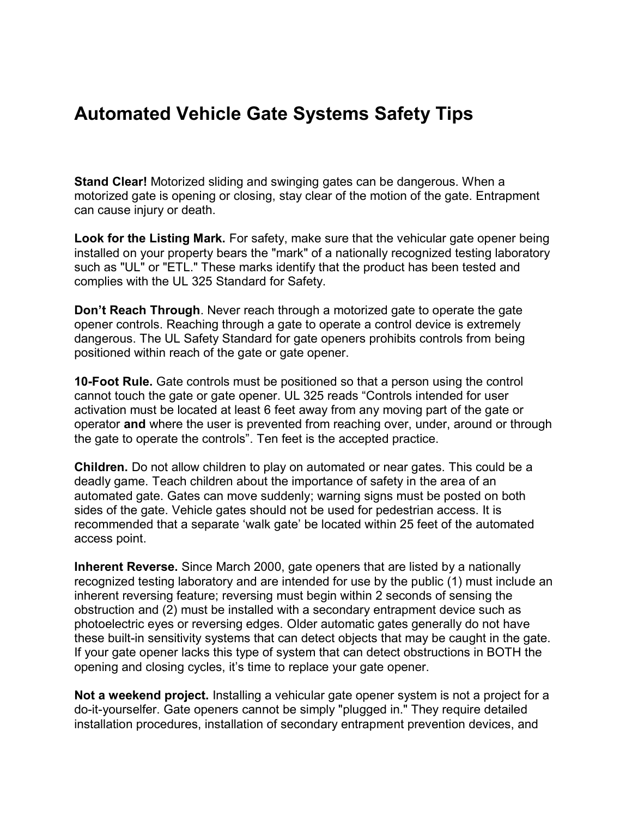## **Automated Vehicle Gate Systems Safety Tips**

**Stand Clear!** Motorized sliding and swinging gates can be dangerous. When a motorized gate is opening or closing, stay clear of the motion of the gate. Entrapment can cause injury or death.

**Look for the Listing Mark.** For safety, make sure that the vehicular gate opener being installed on your property bears the "mark" of a nationally recognized testing laboratory such as "UL" or "ETL." These marks identify that the product has been tested and complies with the UL 325 Standard for Safety.

**Don't Reach Through**. Never reach through a motorized gate to operate the gate opener controls. Reaching through a gate to operate a control device is extremely dangerous. The UL Safety Standard for gate openers prohibits controls from being positioned within reach of the gate or gate opener.

**10-Foot Rule.** Gate controls must be positioned so that a person using the control cannot touch the gate or gate opener. UL 325 reads "Controls intended for user activation must be located at least 6 feet away from any moving part of the gate or operator **and** where the user is prevented from reaching over, under, around or through the gate to operate the controls". Ten feet is the accepted practice.

**Children.** Do not allow children to play on automated or near gates. This could be a deadly game. Teach children about the importance of safety in the area of an automated gate. Gates can move suddenly; warning signs must be posted on both sides of the gate. Vehicle gates should not be used for pedestrian access. It is recommended that a separate 'walk gate' be located within 25 feet of the automated access point.

**Inherent Reverse.** Since March 2000, gate openers that are listed by a nationally recognized testing laboratory and are intended for use by the public (1) must include an inherent reversing feature; reversing must begin within 2 seconds of sensing the obstruction and (2) must be installed with a secondary entrapment device such as photoelectric eyes or reversing edges. Older automatic gates generally do not have these built-in sensitivity systems that can detect objects that may be caught in the gate. If your gate opener lacks this type of system that can detect obstructions in BOTH the opening and closing cycles, it's time to replace your gate opener.

**Not a weekend project.** Installing a vehicular gate opener system is not a project for a do-it-yourselfer. Gate openers cannot be simply "plugged in." They require detailed installation procedures, installation of secondary entrapment prevention devices, and